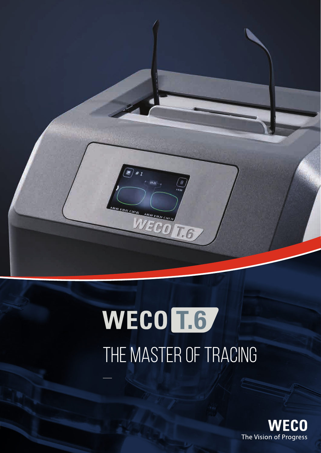

# WECO<sup>L6</sup> THE MASTER OF TRACING

WZE HO The Vision of Progress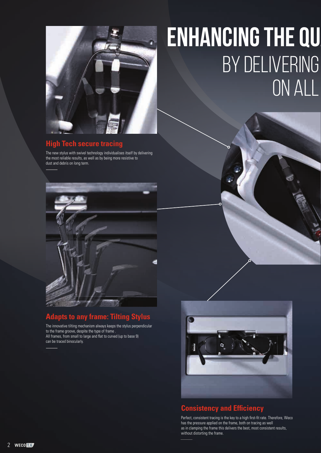

#### **High Tech secure trac**

The new stylus with swivel technology individualises itself by delivering the most reliable results, as well as by being more resistive to dust and debris on long term.



#### **Adapts to any frame: Tilting Stylus**

The innovative tilting mechanism always keeps the stylus perpendicular to the frame groove, despite the type of frame . All frames, from small to large and flat to curved (up to base 9) can be traced binocularly.

## **ENHANCING THE QU BY DELIVERING** ON ALL



#### **Consistency and Efficiency**

Perfect, consistent tracing is the key to a high first-fit rate. Therefore, Weco has the pressure applied on the frame, both on tracing as well as in clamping the frame this delivers the best, most consistent results, without distorting the frame.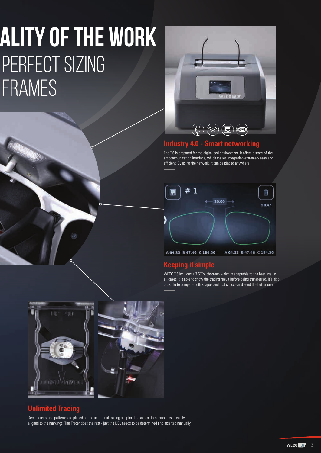### **ALITY OF THE WORK** PERFECT SIZING FRAMES



#### **Industry 4.0 - Smart networking**

The T.6 is prepared for the digitalised environment. It offers a state-of-theart communication interface, which makes integration extremely easy and efficient. By using the network, it can be placed anywhere.



#### **Keeping it simple**

WECO T.6 includes a 3.5"Touchscreen which is adaptable to the best use. In all cases it is able to show the tracing result before being transferred. It's also possible to compare both shapes and just choose and send the better one.



#### **Unlimited Tracing**

Demo lenses and patterns are placed on the additional tracing adaptor. The axis of the demo lens is easily aligned to the markings. The Tracer does the rest - just the DBL needs to be determined and inserted manually